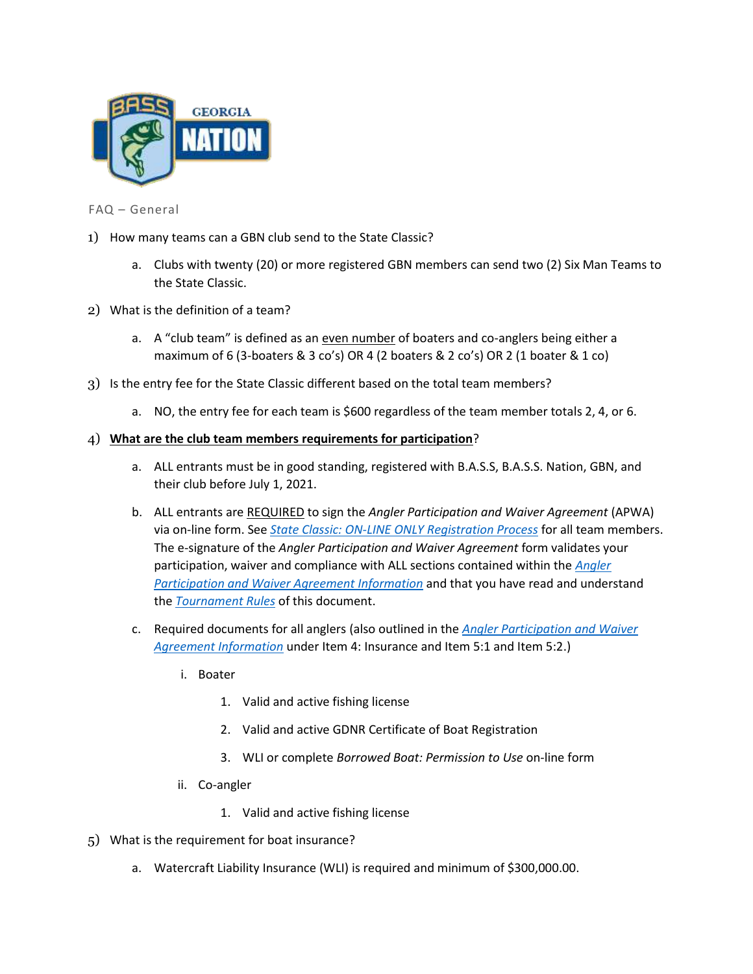

FAQ – General

- 1) How many teams can a GBN club send to the State Classic?
	- a. Clubs with twenty (20) or more registered GBN members can send two (2) Six Man Teams to the State Classic.
- 2) What is the definition of a team?
	- a. A "club team" is defined as an even number of boaters and co-anglers being either a maximum of 6 (3-boaters & 3 co's) OR 4 (2 boaters & 2 co's) OR 2 (1 boater & 1 co)
- 3) Is the entry fee for the State Classic different based on the total team members?
	- a. NO, the entry fee for each team is \$600 regardless of the team member totals 2, 4, or 6.

## 4) **What are the club team members requirements for participation**?

- a. ALL entrants must be in good standing, registered with B.A.S.S, B.A.S.S. Nation, GBN, and their club before July 1, 2021.
- b. ALL entrants are REQUIRED to sign the *Angler Participation and Waiver Agreement* (APWA) via on-line form. See *State Classic: ON-LINE ONLY Registration Process* for all team members. The e-signature of the *Angler Participation and Waiver Agreement* form validates your participation, waiver and compliance with ALL sections contained within the *Angler Participation and Waiver Agreement Information* and that you have read and understand the *Tournament Rules* of this document.
- c. Required documents for all anglers (also outlined in the *Angler Participation and Waiver Agreement Information* under Item 4: Insurance and Item 5:1 and Item 5:2.)
	- i. Boater
		- 1. Valid and active fishing license
		- 2. Valid and active GDNR Certificate of Boat Registration
		- 3. WLI or complete *Borrowed Boat: Permission to Use* on-line form
	- ii. Co-angler
		- 1. Valid and active fishing license
- 5) What is the requirement for boat insurance?
	- a. Watercraft Liability Insurance (WLI) is required and minimum of \$300,000.00.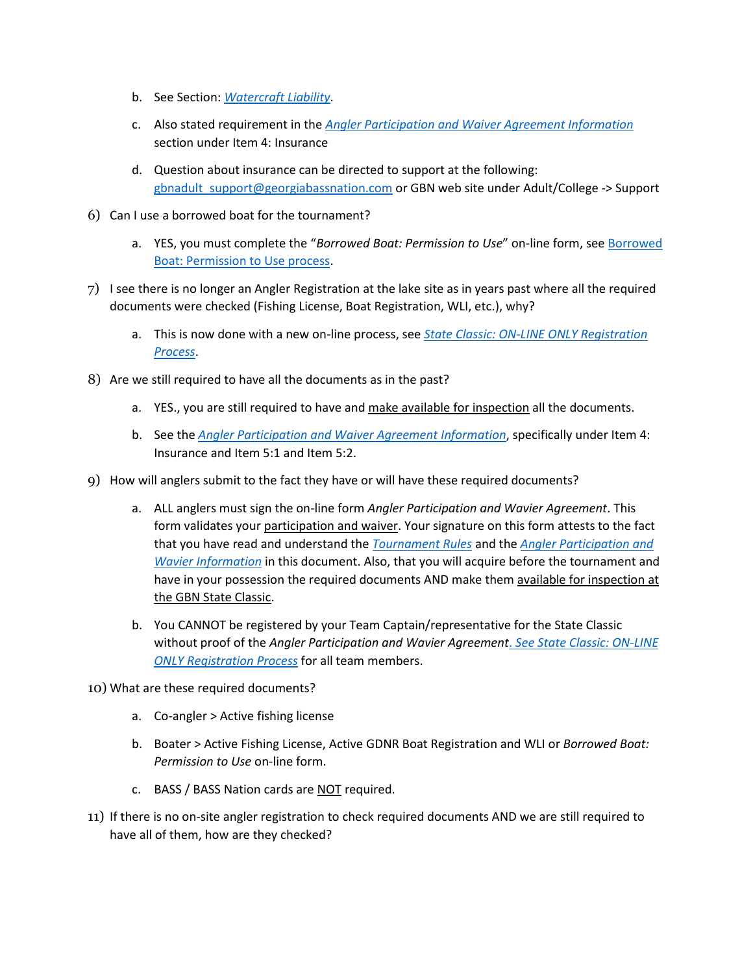- b. See Section: *Watercraft Liability*.
- c. Also stated requirement in the *Angler Participation and Waiver Agreement Information* section under Item 4: Insurance
- d. Question about insurance can be directed to support at the following: [gbnadult\\_support@georgiabassnation.com](mailto:gbnadult_support@georgiabassnation.com) or GBN web site under Adult/College -> Support
- 6) Can I use a borrowed boat for the tournament?
	- a. YES, you must complete the "*Borrowed Boat: Permission to Use*" on-line form, see Borrowed Boat: Permission to Use process.
- 7) I see there is no longer an Angler Registration at the lake site as in years past where all the required documents were checked (Fishing License, Boat Registration, WLI, etc.), why?
	- a. This is now done with a new on-line process, see *State Classic: ON-LINE ONLY Registration Process*.
- 8) Are we still required to have all the documents as in the past?
	- a. YES., you are still required to have and make available for inspection all the documents.
	- b. See the *Angler Participation and Waiver Agreement Information*, specifically under Item 4: Insurance and Item 5:1 and Item 5:2.
- 9) How will anglers submit to the fact they have or will have these required documents?
	- a. ALL anglers must sign the on-line form *Angler Participation and Wavier Agreement*. This form validates your participation and waiver. Your signature on this form attests to the fact that you have read and understand the *Tournament Rules* and the *Angler Participation and Wavier Information* in this document. Also, that you will acquire before the tournament and have in your possession the required documents AND make them available for inspection at the GBN State Classic.
	- b. You CANNOT be registered by your Team Captain/representative for the State Classic without proof of the *Angler Participation and Wavier Agreement*. *See State Classic: ON-LINE ONLY Registration Process* for all team members.
- 10) What are these required documents?
	- a. Co-angler > Active fishing license
	- b. Boater > Active Fishing License, Active GDNR Boat Registration and WLI or *Borrowed Boat: Permission to Use* on-line form.
	- c. BASS / BASS Nation cards are NOT required.
- 11) If there is no on-site angler registration to check required documents AND we are still required to have all of them, how are they checked?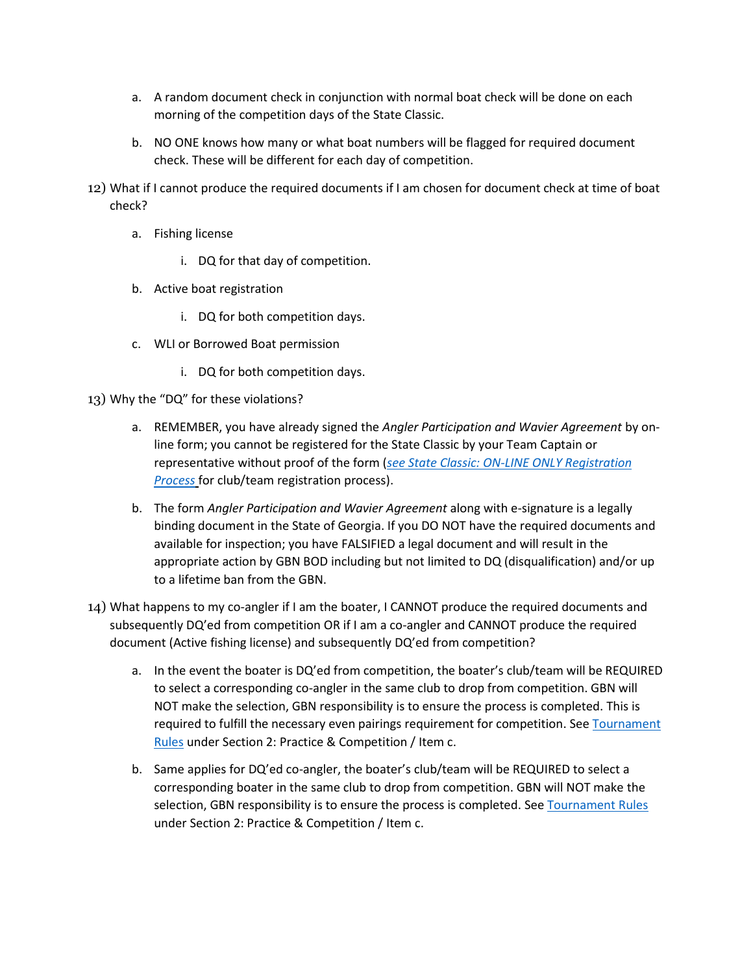- a. A random document check in conjunction with normal boat check will be done on each morning of the competition days of the State Classic.
- b. NO ONE knows how many or what boat numbers will be flagged for required document check. These will be different for each day of competition.
- 12) What if I cannot produce the required documents if I am chosen for document check at time of boat check?
	- a. Fishing license
		- i. DQ for that day of competition.
	- b. Active boat registration
		- i. DQ for both competition days.
	- c. WLI or Borrowed Boat permission
		- i. DQ for both competition days.
- 13) Why the "DQ" for these violations?
	- a. REMEMBER, you have already signed the *Angler Participation and Wavier Agreement* by online form; you cannot be registered for the State Classic by your Team Captain or representative without proof of the form (*see State Classic: ON-LINE ONLY Registration Process* for club/team registration process).
	- b. The form *Angler Participation and Wavier Agreement* along with e-signature is a legally binding document in the State of Georgia. If you DO NOT have the required documents and available for inspection; you have FALSIFIED a legal document and will result in the appropriate action by GBN BOD including but not limited to DQ (disqualification) and/or up to a lifetime ban from the GBN.
- 14) What happens to my co-angler if I am the boater, I CANNOT produce the required documents and subsequently DQ'ed from competition OR if I am a co-angler and CANNOT produce the required document (Active fishing license) and subsequently DQ'ed from competition?
	- a. In the event the boater is DQ'ed from competition, the boater's club/team will be REQUIRED to select a corresponding co-angler in the same club to drop from competition. GBN will NOT make the selection, GBN responsibility is to ensure the process is completed. This is required to fulfill the necessary even pairings requirement for competition. See Tournament Rules under Section 2: Practice & Competition / Item c.
	- b. Same applies for DQ'ed co-angler, the boater's club/team will be REQUIRED to select a corresponding boater in the same club to drop from competition. GBN will NOT make the selection, GBN responsibility is to ensure the process is completed. See Tournament Rules under Section 2: Practice & Competition / Item c.